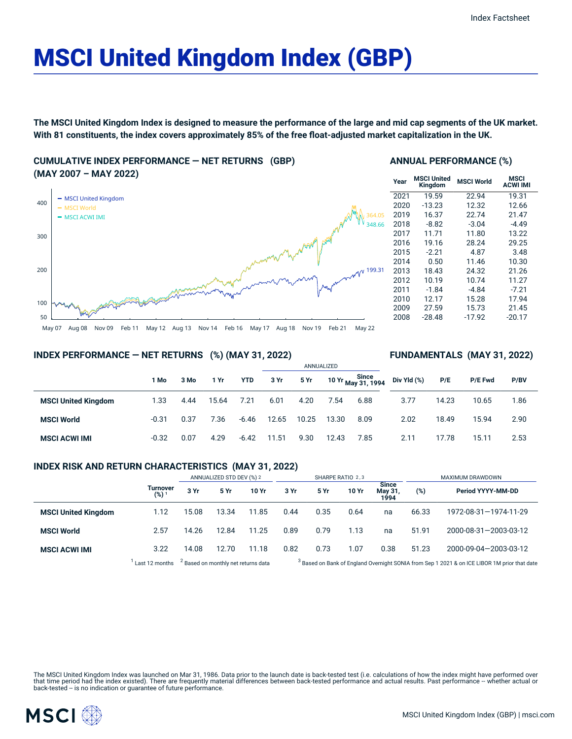# MSCI United Kingdom Index (GBP)

The MSCI United Kingdom Index is designed to measure the performance of the large and mid cap segments of the UK market. With 81 constituents, the index covers approximately 85% of the free float-adjusted market capitalization in the UK.

**CUMULATIVE INDEX PERFORMANCE — NET RETURNS (GBP) (MAY 2007 – MAY 2022)**



#### **ANNUAL PERFORMANCE (%)**

| Year | <b>MSCI United</b><br>Kingdom | <b>MSCI World</b> | MSCI<br><b>ACWI IMI</b> |
|------|-------------------------------|-------------------|-------------------------|
| 2021 | 19.59                         | 22.94             | 19.31                   |
| 2020 | $-13.23$                      | 12.32             | 12.66                   |
| 2019 | 16.37                         | 22.74             | 21.47                   |
| 2018 | $-8.82$                       | $-3.04$           | $-4.49$                 |
| 2017 | 11.71                         | 11.80             | 13.22                   |
| 2016 | 19.16                         | 28.24             | 29.25                   |
| 2015 | $-2.21$                       | 4.87              | 3.48                    |
| 2014 | 0.50                          | 11.46             | 10.30                   |
| 2013 | 18.43                         | 24.32             | 21.26                   |
| 2012 | 10.19                         | 10.74             | 11.27                   |
| 2011 | $-1.84$                       | -4.84             | $-7.21$                 |
| 2010 | 12.17                         | 15.28             | 17.94                   |
| 2009 | 27.59                         | 15.73             | 21.45                   |
| 2008 | $-28.48$                      | $-17.92$          | $-20.17$                |

**FUNDAMENTALS (MAY 31, 2022)**

# **INDEX PERFORMANCE — NET RETURNS (%) (MAY 31, 2022)**

|                            |         |      |       |            |       |       | ANNUALIZED |                                  |             |       |         |      |  |
|----------------------------|---------|------|-------|------------|-------|-------|------------|----------------------------------|-------------|-------|---------|------|--|
|                            | 1 Mo    | 3 Mo | 1 Yr  | <b>YTD</b> | 3 Yr  | 5 Yr  |            | 10 Yr Since<br>1994 May 31, 1994 | Div Yld (%) | P/E   | P/E Fwd | P/BV |  |
| <b>MSCI United Kingdom</b> | 1.33    | 4.44 | 15.64 | 7.21       | 6.01  | 4.20  | 7.54       | 6.88                             | 3.77        | 14.23 | 10.65   | 1.86 |  |
| <b>MSCI World</b>          | $-0.31$ | 0.37 | 7.36  | $-6.46$    | 12.65 | 10.25 | 13.30      | 8.09                             | 2.02        | 18.49 | 15.94   | 2.90 |  |
| <b>MSCI ACWI IMI</b>       | $-0.32$ | 0.07 | 4.29  | $-6.42$    | 11.51 | 9.30  | 12.43      | 7.85                             | 2.11        | 17.78 | 15.11   | 2.53 |  |

# **INDEX RISK AND RETURN CHARACTERISTICS (MAY 31, 2022)**

|                            |                     | ANNUALIZED STD DEV (%) 2                       |       |       | SHARPE RATIO 2,3                                                                                        |      |       |                                 | MAXIMUM DRAWDOWN |                       |  |
|----------------------------|---------------------|------------------------------------------------|-------|-------|---------------------------------------------------------------------------------------------------------|------|-------|---------------------------------|------------------|-----------------------|--|
|                            | Turnover<br>$(%)^1$ | 3 Yr                                           | 5 Yr  | 10 Yr | 3 Yr                                                                                                    | 5 Yr | 10 Yr | <b>Since</b><br>May 31,<br>1994 | (%)              | Period YYYY-MM-DD     |  |
| <b>MSCI United Kingdom</b> | 1.12                | 15.08                                          | 13.34 | 11.85 | 0.44                                                                                                    | 0.35 | 0.64  | na                              | 66.33            | 1972-08-31-1974-11-29 |  |
| <b>MSCI World</b>          | 2.57                | 14.26                                          | 12.84 | 11.25 | 0.89                                                                                                    | 0.79 | 1.13  | na                              | 51.91            | 2000-08-31-2003-03-12 |  |
| <b>MSCI ACWI IMI</b>       | 3.22                | 14.08                                          | 12.70 | 11.18 | 0.82                                                                                                    | 0.73 | 1.07  | 0.38                            | 51.23            | 2000-09-04-2003-03-12 |  |
|                            | Last 12 months      | <sup>2</sup> Based on monthly net returns data |       |       | <sup>3</sup> Based on Bank of England Overnight SONIA from Sep 1 2021 & on ICE LIBOR 1M prior that date |      |       |                                 |                  |                       |  |

The MSCI United Kingdom Index was launched on Mar 31, 1986. Data prior to the launch date is back-tested test (i.e. calculations of how the index might have performed over<br>that time period had the index existed). There are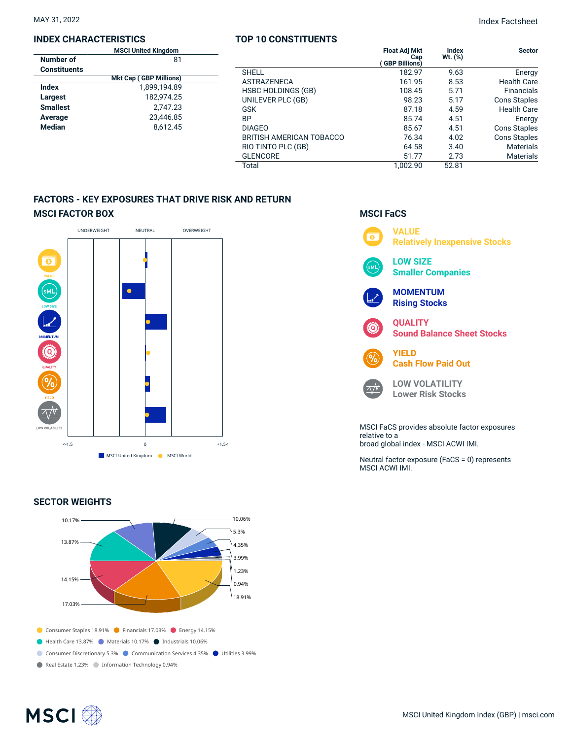#### **INDEX CHARACTERISTICS**

|                     | <b>MSCI United Kingdom</b>    |  |
|---------------------|-------------------------------|--|
| Number of           | 81                            |  |
| <b>Constituents</b> |                               |  |
|                     | <b>Mkt Cap (GBP Millions)</b> |  |
| Index               | 1.899.194.89                  |  |
| Largest             | 182,974.25                    |  |
| <b>Smallest</b>     | 2.747.23                      |  |
| Average             | 23.446.85                     |  |
| <b>Median</b>       | 8.612.45                      |  |
|                     |                               |  |

### **TOP 10 CONSTITUENTS Float Adj Mkt Cap ( GBP Billions) Index Wt. (%)**

Total 1,002.90 52.81

|                          | <b>Float Adj Mkt</b><br>Cap<br><b>GBP Billions)</b> | Index<br>Wt. (%) | <b>Sector</b>       |
|--------------------------|-----------------------------------------------------|------------------|---------------------|
| SHELL                    | 182.97                                              | 9.63             | Energy              |
| ASTRAZENECA              | 161.95                                              | 8.53             | <b>Health Care</b>  |
| HSBC HOLDINGS (GB)       | 108.45                                              | 5.71             | <b>Financials</b>   |
| UNILEVER PLC (GB)        | 98.23                                               | 5.17             | <b>Cons Staples</b> |
| GSK                      | 87.18                                               | 4.59             | <b>Health Care</b>  |
| BΡ                       | 85.74                                               | 4.51             | Energy              |
| <b>DIAGEO</b>            | 85.67                                               | 4.51             | <b>Cons Staples</b> |
| BRITISH AMERICAN TOBACCO | 76.34                                               | 4.02             | <b>Cons Staples</b> |
| RIO TINTO PLC (GB)       | 64.58                                               | 3.40             | <b>Materials</b>    |

**FACTORS - KEY EXPOSURES THAT DRIVE RISK AND RETURN**



# **SECTOR WEIGHTS**



# **MSCI FaCS**

GLENCORE 51.77 2.73 Materials



MSCI FaCS provides absolute factor exposures relative to a broad global index - MSCI ACWI IMI.

Neutral factor exposure (FaCS = 0) represents MSCI ACWI IMI.

# MAY 31, 2022 Index Factsheet